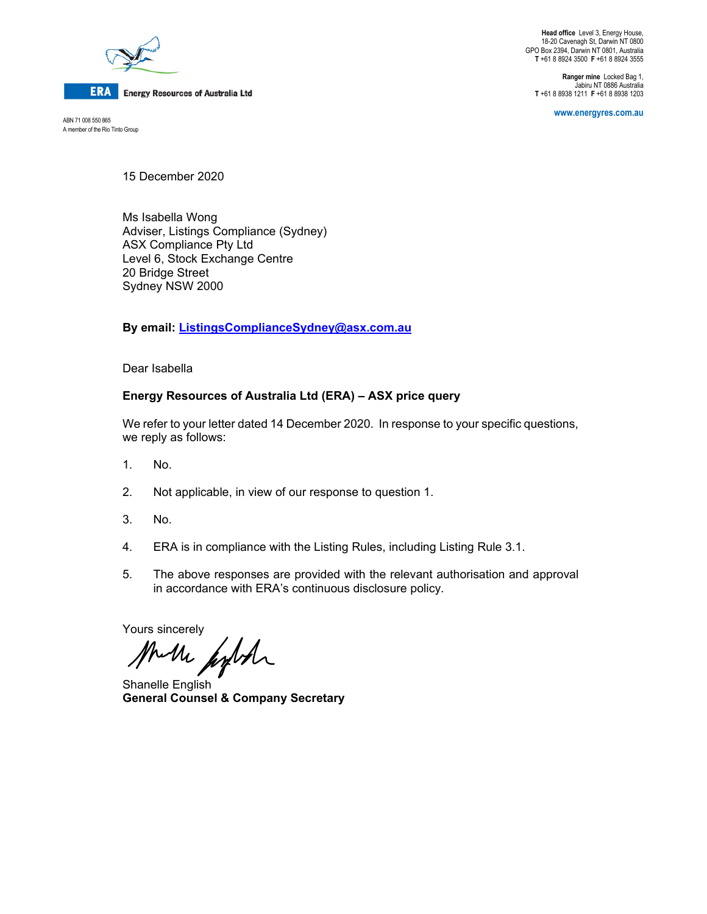

**ERA** Energy Resources of Australia Ltd

A member of the Rio Tinto Group

**Head office** Level 3, Energy House, 18-20 Cavenagh St, Darwin NT 0800 GPO Box 2394, Darwin NT 0801, Australia **T** +61 8 8924 3500 **F** +61 8 8924 3555

**Ranger mine** Locked Bag 1, Jabiru NT 0886 Australia **T** +61 8 8938 1211 **F** +61 8 8938 1203

**www.energyres.com.au** ABN 71 008 550 865

15 December 2020

Ms Isabella Wong Adviser, Listings Compliance (Sydney) ASX Compliance Pty Ltd Level 6, Stock Exchange Centre 20 Bridge Street Sydney NSW 2000

**By email: ListingsComplianceSydney@asx.com.au**

Dear Isabella

# **Energy Resources of Australia Ltd (ERA) – ASX price query**

We refer to your letter dated 14 December 2020. In response to your specific questions, we reply as follows:

- 1. No.
- 2. Not applicable, in view of our response to question 1.
- 3. No.
- 4. ERA is in compliance with the Listing Rules, including Listing Rule 3.1.
- 5. The above responses are provided with the relevant authorisation and approval in accordance with ERA's continuous disclosure policy.

Yours sincerely

Much finder

Shanelle English **General Counsel & Company Secretary**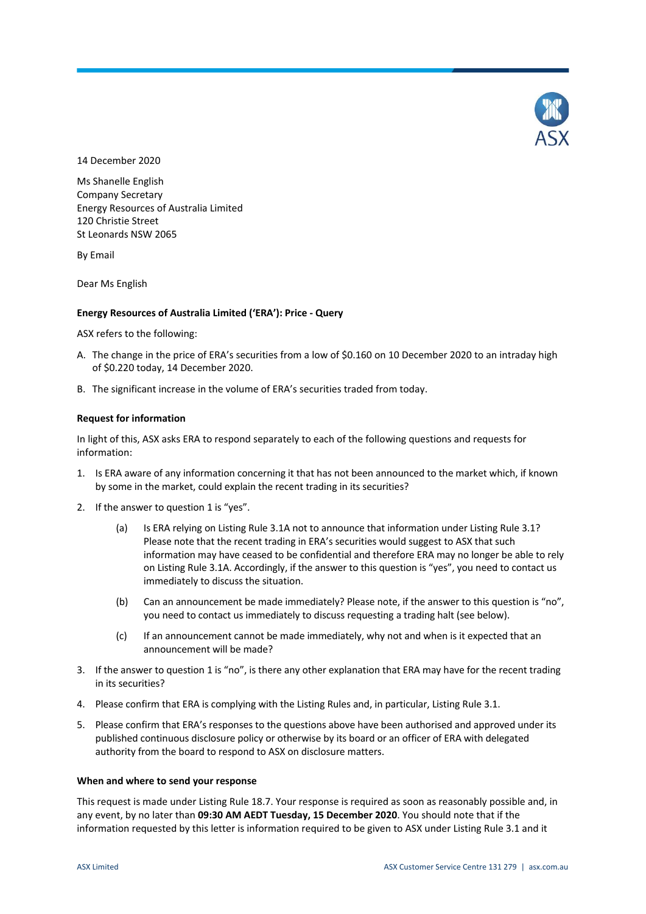

14 December 2020

Ms Shanelle English Company Secretary Energy Resources of Australia Limited 120 Christie Street St Leonards NSW 2065

By Email

Dear Ms English

### **Energy Resources of Australia Limited ('ERA'): Price - Query**

ASX refers to the following:

- A. The change in the price of ERA's securities from a low of \$0.160 on 10 December 2020 to an intraday high of \$0.220 today, 14 December 2020.
- B. The significant increase in the volume of ERA's securities traded from today.

### **Request for information**

In light of this, ASX asks ERA to respond separately to each of the following questions and requests for information:

- 1. Is ERA aware of any information concerning it that has not been announced to the market which, if known by some in the market, could explain the recent trading in its securities?
- 2. If the answer to question 1 is "yes".
	- (a) Is ERA relying on Listing Rule 3.1A not to announce that information under Listing Rule 3.1? Please note that the recent trading in ERA's securities would suggest to ASX that such information may have ceased to be confidential and therefore ERA may no longer be able to rely on Listing Rule 3.1A. Accordingly, if the answer to this question is "yes", you need to contact us immediately to discuss the situation.
	- (b) Can an announcement be made immediately? Please note, if the answer to this question is "no", you need to contact us immediately to discuss requesting a trading halt (see below).
	- (c) If an announcement cannot be made immediately, why not and when is it expected that an announcement will be made?
- 3. If the answer to question 1 is "no", is there any other explanation that ERA may have for the recent trading in its securities?
- 4. Please confirm that ERA is complying with the Listing Rules and, in particular, Listing Rule 3.1.
- 5. Please confirm that ERA's responses to the questions above have been authorised and approved under its published continuous disclosure policy or otherwise by its board or an officer of ERA with delegated authority from the board to respond to ASX on disclosure matters.

### **When and where to send your response**

This request is made under Listing Rule 18.7. Your response is required as soon as reasonably possible and, in any event, by no later than **09:30 AM AEDT Tuesday, 15 December 2020**. You should note that if the information requested by this letter is information required to be given to ASX under Listing Rule 3.1 and it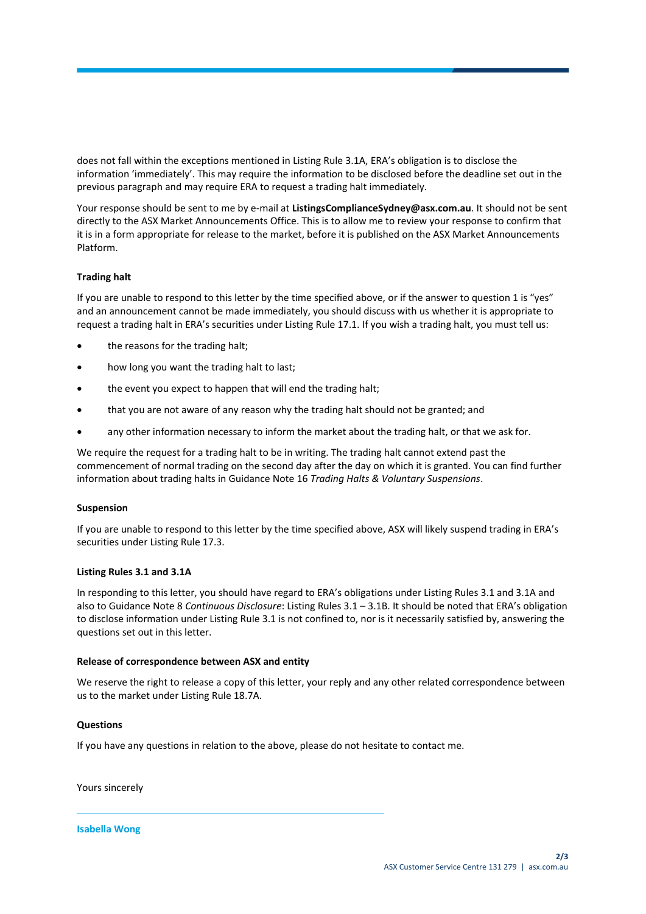does not fall within the exceptions mentioned in Listing Rule 3.1A, ERA's obligation is to disclose the information 'immediately'. This may require the information to be disclosed before the deadline set out in the previous paragraph and may require ERA to request a trading halt immediately.

Your response should be sent to me by e-mail at **ListingsComplianceSydney@asx.com.au**. It should not be sent directly to the ASX Market Announcements Office. This is to allow me to review your response to confirm that it is in a form appropriate for release to the market, before it is published on the ASX Market Announcements Platform.

# **Trading halt**

If you are unable to respond to this letter by the time specified above, or if the answer to question 1 is "yes" and an announcement cannot be made immediately, you should discuss with us whether it is appropriate to request a trading halt in ERA's securities under Listing Rule 17.1. If you wish a trading halt, you must tell us:

- the reasons for the trading halt;
- how long you want the trading halt to last;
- the event you expect to happen that will end the trading halt;
- that you are not aware of any reason why the trading halt should not be granted; and
- any other information necessary to inform the market about the trading halt, or that we ask for.

We require the request for a trading halt to be in writing. The trading halt cannot extend past the commencement of normal trading on the second day after the day on which it is granted. You can find further information about trading halts in Guidance Note 16 *Trading Halts & Voluntary Suspensions*.

# **Suspension**

If you are unable to respond to this letter by the time specified above, ASX will likely suspend trading in ERA's securities under Listing Rule 17.3.

# **Listing Rules 3.1 and 3.1A**

In responding to this letter, you should have regard to ERA's obligations under Listing Rules 3.1 and 3.1A and also to Guidance Note 8 *Continuous Disclosure*: Listing Rules 3.1 – 3.1B. It should be noted that ERA's obligation to disclose information under Listing Rule 3.1 is not confined to, nor is it necessarily satisfied by, answering the questions set out in this letter.

# **Release of correspondence between ASX and entity**

We reserve the right to release a copy of this letter, your reply and any other related correspondence between us to the market under Listing Rule 18.7A.

### **Questions**

If you have any questions in relation to the above, please do not hesitate to contact me.

Yours sincerely

**Isabella Wong**